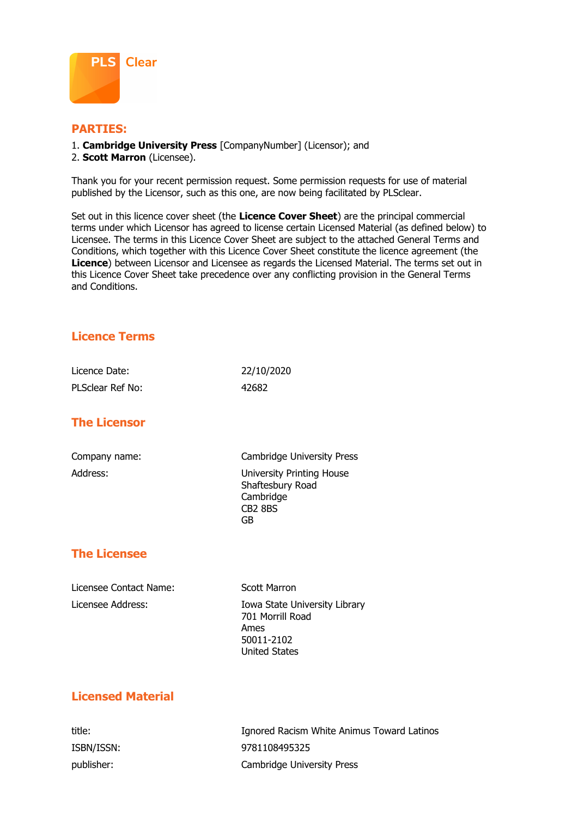

### **PARTIES:**

- 1. **Cambridge University Press** [CompanyNumber] (Licensor); and
- 2. **Scott Marron** (Licensee).

Thank you for your recent permission request. Some permission requests for use of material published by the Licensor, such as this one, are now being facilitated by PLSclear.

Set out in this licence cover sheet (the **Licence Cover Sheet**) are the principal commercial terms under which Licensor has agreed to license certain Licensed Material (as defined below) to Licensee. The terms in this Licence Cover Sheet are subject to the attached General Terms and Conditions, which together with this Licence Cover Sheet constitute the licence agreement (the **Licence**) between Licensor and Licensee as regards the Licensed Material. The terms set out in this Licence Cover Sheet take precedence over any conflicting provision in the General Terms and Conditions.

# **Licence Terms**

| Licence Date:    | 22/10/2020 |
|------------------|------------|
| PLSclear Ref No: | 42682      |

# **The Licensor**

Company name: Cambridge University Press Address: University Printing House Shaftesbury Road Cambridge CB2 8BS GB

# **The Licensee**

Licensee Contact Name: Scott Marron

Licensee Address: Iowa State University Library 701 Morrill Road Ames 50011-2102 United States

# **Licensed Material**

title: Ignored Racism White Animus Toward Latinos ISBN/ISSN: 9781108495325 publisher: Cambridge University Press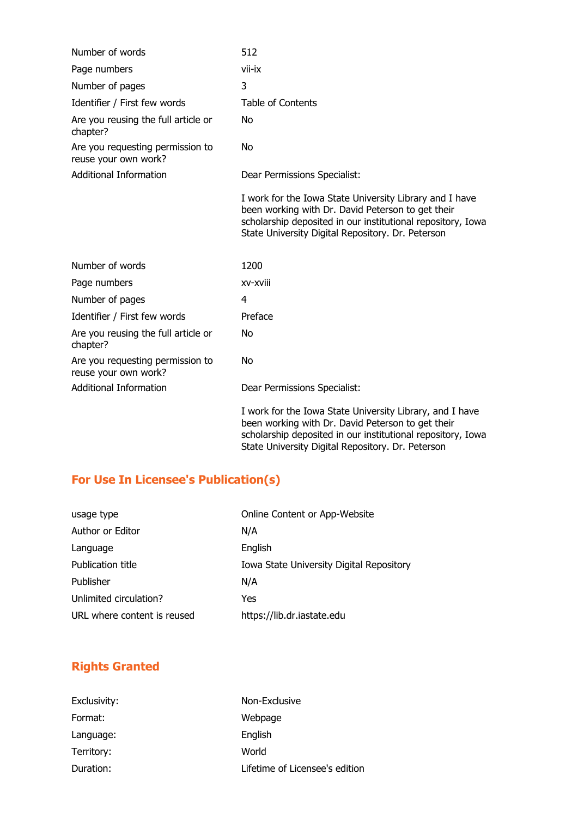| Number of words                                          | 512                                                                                                                                                                                                                              |
|----------------------------------------------------------|----------------------------------------------------------------------------------------------------------------------------------------------------------------------------------------------------------------------------------|
| Page numbers                                             | vii-ix                                                                                                                                                                                                                           |
| Number of pages                                          | 3                                                                                                                                                                                                                                |
| Identifier / First few words                             | <b>Table of Contents</b>                                                                                                                                                                                                         |
| Are you reusing the full article or<br>chapter?          | No.                                                                                                                                                                                                                              |
| Are you requesting permission to<br>reuse your own work? | No.                                                                                                                                                                                                                              |
| <b>Additional Information</b>                            | Dear Permissions Specialist:                                                                                                                                                                                                     |
|                                                          | I work for the Iowa State University Library and I have<br>been working with Dr. David Peterson to get their<br>scholarship deposited in our institutional repository, Iowa<br>State University Digital Repository. Dr. Peterson |
| Number of words                                          | 1200                                                                                                                                                                                                                             |
| Page numbers                                             | xv-xviii                                                                                                                                                                                                                         |
| Number of pages                                          | 4                                                                                                                                                                                                                                |
| Identifier / First few words                             | Preface                                                                                                                                                                                                                          |
| Are you reusing the full article or<br>chapter?          | No.                                                                                                                                                                                                                              |
| Are you requesting permission to<br>reuse your own work? | No.                                                                                                                                                                                                                              |
| <b>Additional Information</b>                            | Dear Permissions Specialist:                                                                                                                                                                                                     |
|                                                          | I work for the Iowa State University Library, and I have<br>been working with Dr. David Peterson to get their<br>scholarship deposited in our institutional repository, Iowa                                                     |

State University Digital Repository. Dr. Peterson

# **For Use In Licensee's Publication(s)**

| usage type                  | Online Content or App-Website            |
|-----------------------------|------------------------------------------|
| Author or Editor            | N/A                                      |
| Language                    | English                                  |
| Publication title           | Iowa State University Digital Repository |
| Publisher                   | N/A                                      |
| Unlimited circulation?      | Yes                                      |
| URL where content is reused | https://lib.dr.iastate.edu               |
|                             |                                          |

# **Rights Granted**

| Exclusivity: | Non-Exclusive                  |
|--------------|--------------------------------|
| Format:      | Webpage                        |
| Language:    | English                        |
| Territory:   | World                          |
| Duration:    | Lifetime of Licensee's edition |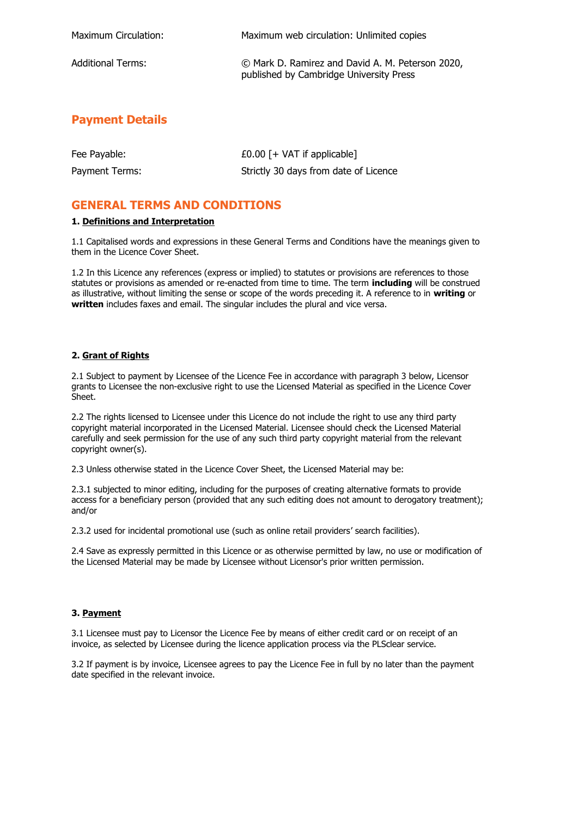| Maximum Circulation: | Maximum web circulation: Unlimited copies                                                   |
|----------------------|---------------------------------------------------------------------------------------------|
| Additional Terms:    | © Mark D. Ramirez and David A. M. Peterson 2020,<br>published by Cambridge University Press |

### **Payment Details**

| Fee Payable:   | £0.00 $[+$ VAT if applicable]         |
|----------------|---------------------------------------|
| Payment Terms: | Strictly 30 days from date of Licence |

### **GENERAL TERMS AND CONDITIONS**

### **1. Definitions and Interpretation**

1.1 Capitalised words and expressions in these General Terms and Conditions have the meanings given to them in the Licence Cover Sheet.

1.2 In this Licence any references (express or implied) to statutes or provisions are references to those statutes or provisions as amended or re-enacted from time to time. The term **including** will be construed as illustrative, without limiting the sense or scope of the words preceding it. A reference to in **writing** or **written** includes faxes and email. The singular includes the plural and vice versa.

### **2. Grant of Rights**

2.1 Subject to payment by Licensee of the Licence Fee in accordance with paragraph 3 below, Licensor grants to Licensee the non-exclusive right to use the Licensed Material as specified in the Licence Cover Sheet.

2.2 The rights licensed to Licensee under this Licence do not include the right to use any third party copyright material incorporated in the Licensed Material. Licensee should check the Licensed Material carefully and seek permission for the use of any such third party copyright material from the relevant copyright owner(s).

2.3 Unless otherwise stated in the Licence Cover Sheet, the Licensed Material may be:

2.3.1 subjected to minor editing, including for the purposes of creating alternative formats to provide access for a beneficiary person (provided that any such editing does not amount to derogatory treatment); and/or

2.3.2 used for incidental promotional use (such as online retail providers' search facilities).

2.4 Save as expressly permitted in this Licence or as otherwise permitted by law, no use or modification of the Licensed Material may be made by Licensee without Licensor's prior written permission.

### **3. Payment**

3.1 Licensee must pay to Licensor the Licence Fee by means of either credit card or on receipt of an invoice, as selected by Licensee during the licence application process via the PLSclear service.

3.2 If payment is by invoice, Licensee agrees to pay the Licence Fee in full by no later than the payment date specified in the relevant invoice.